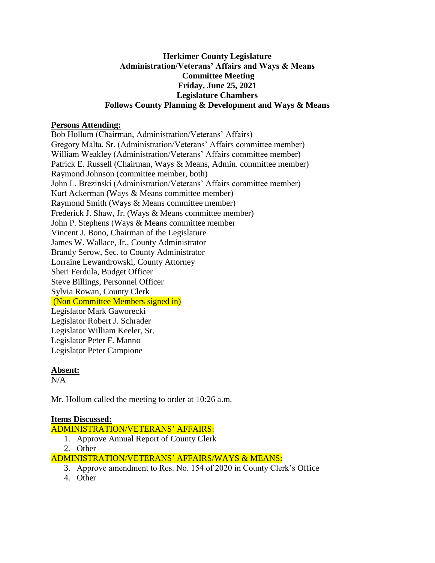### **Herkimer County Legislature Administration/Veterans' Affairs and Ways & Means Committee Meeting Friday, June 25, 2021 Legislature Chambers Follows County Planning & Development and Ways & Means**

### **Persons Attending:**

Bob Hollum (Chairman, Administration/Veterans' Affairs) Gregory Malta, Sr. (Administration/Veterans' Affairs committee member) William Weakley (Administration/Veterans' Affairs committee member) Patrick E. Russell (Chairman, Ways & Means, Admin. committee member) Raymond Johnson (committee member, both) John L. Brezinski (Administration/Veterans' Affairs committee member) Kurt Ackerman (Ways & Means committee member) Raymond Smith (Ways & Means committee member) Frederick J. Shaw, Jr. (Ways & Means committee member) John P. Stephens (Ways & Means committee member Vincent J. Bono, Chairman of the Legislature James W. Wallace, Jr., County Administrator Brandy Serow, Sec. to County Administrator Lorraine Lewandrowski, County Attorney Sheri Ferdula, Budget Officer Steve Billings, Personnel Officer Sylvia Rowan, County Clerk (Non Committee Members signed in) Legislator Mark Gaworecki Legislator Robert J. Schrader Legislator William Keeler, Sr. Legislator Peter F. Manno Legislator Peter Campione

#### **Absent:**

 $N/A$ 

Mr. Hollum called the meeting to order at 10:26 a.m.

## **Items Discussed:**

ADMINISTRATION/VETERANS' AFFAIRS:

- 1. Approve Annual Report of County Clerk
- 2. Other

ADMINISTRATION/VETERANS' AFFAIRS/WAYS & MEANS:

- 3. Approve amendment to Res. No. 154 of 2020 in County Clerk's Office
- 4. Other